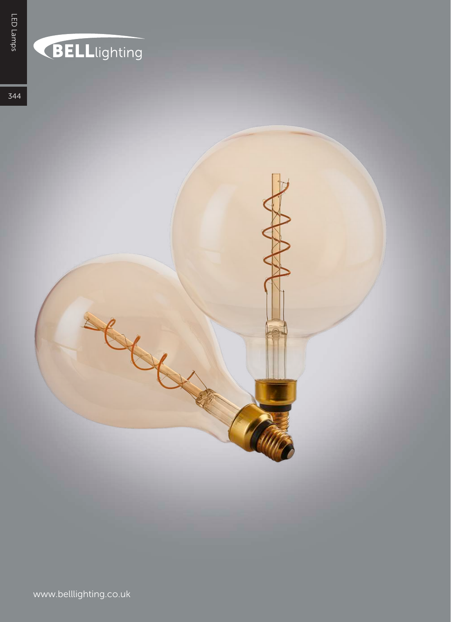## **BELL**lighting

344

www.belllighting.co.uk